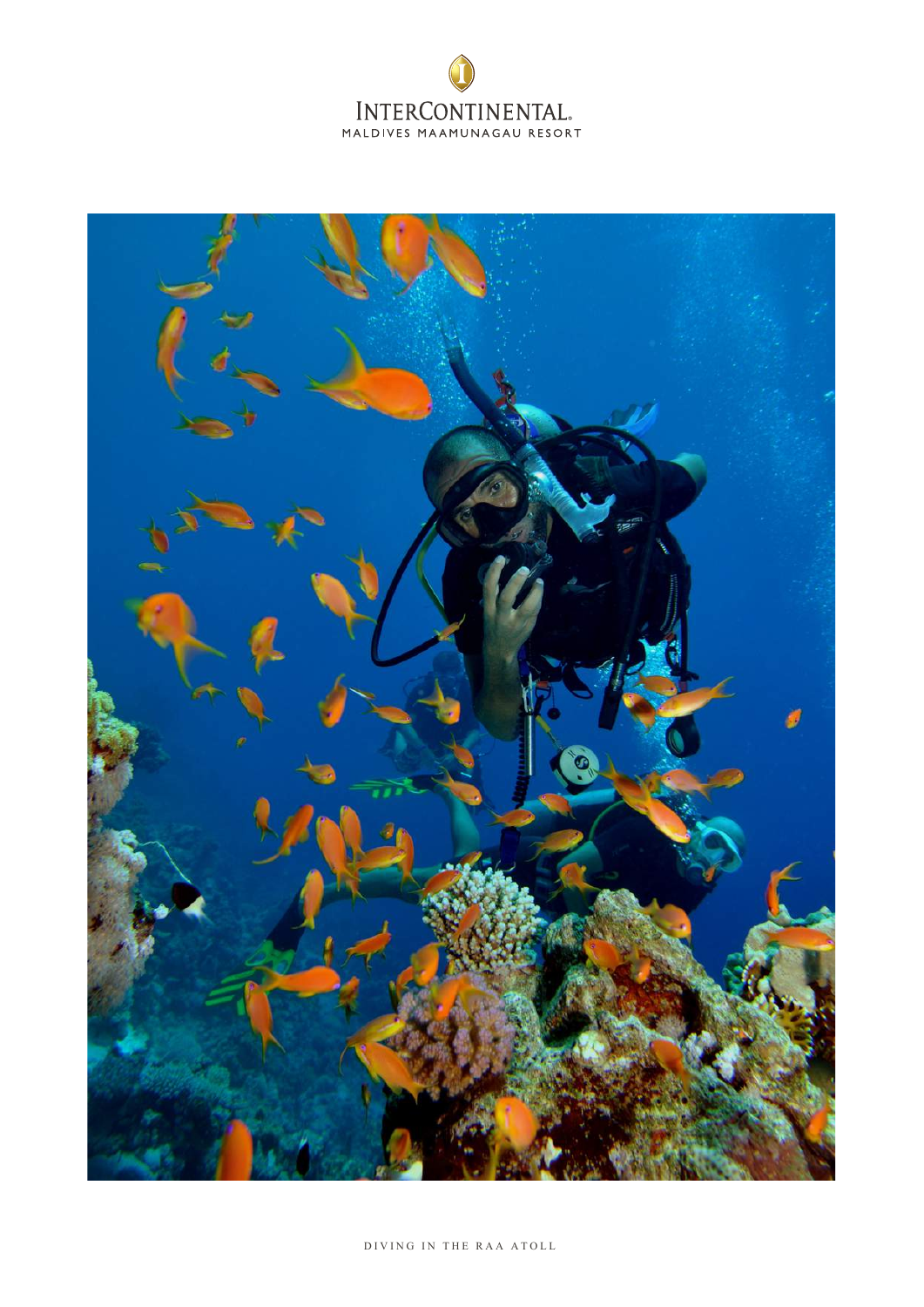

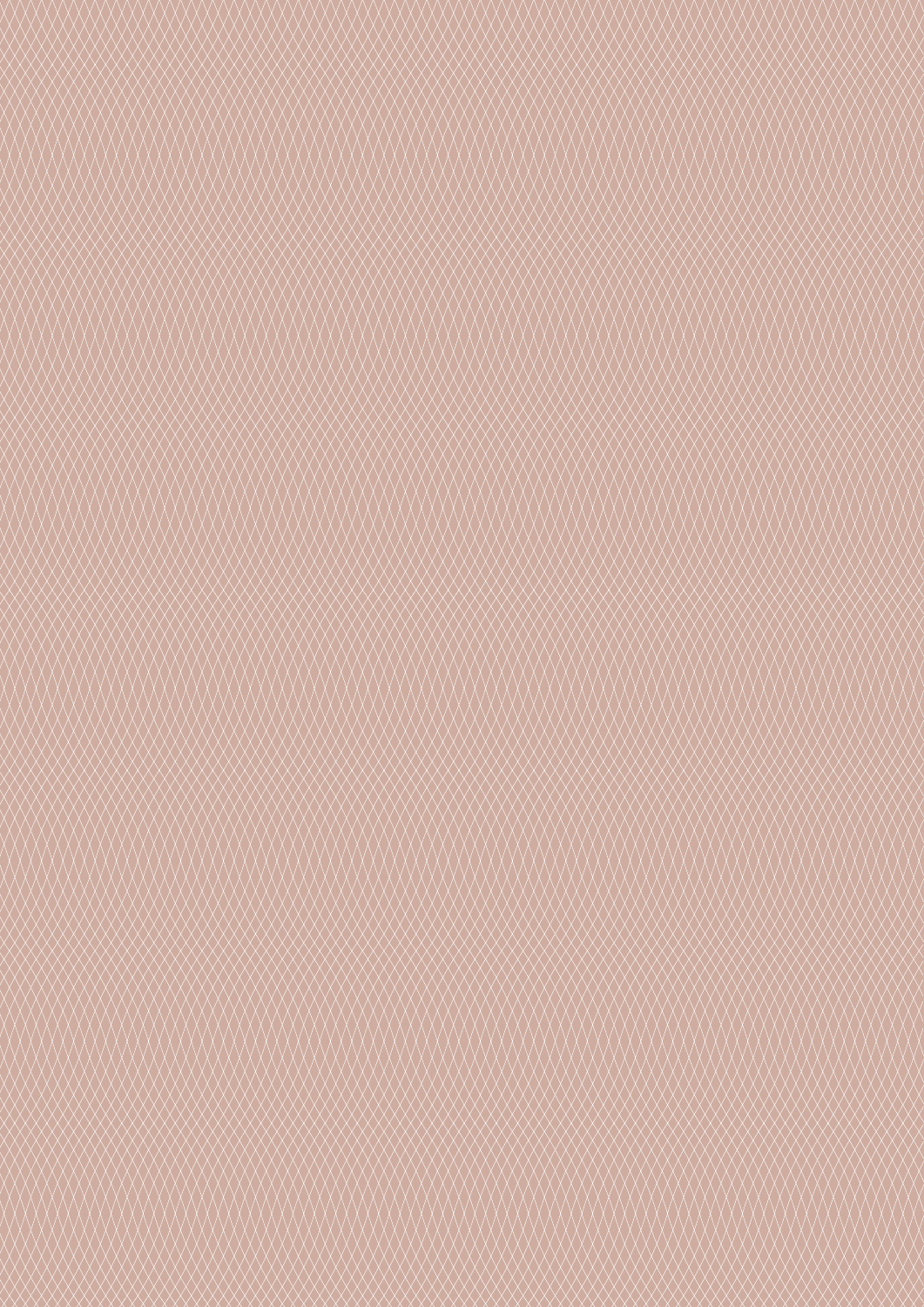KANANG KANANG KANANG KANANG KANANG KANANG KANANG KANANG KANANG KANANG KANANG KANANG KANANG KANANG KANANG KANAN<br>KANANG KANANG KANANG KANANG KANANG KANANG KANANG KANANG KANANG KANANG KANANG KANANG KANANG KANANG KANANG KANAN KERKE KERKE KERKE KERKE KERKE KERKE KERKE KERKE KERKE KERKE KERKE KERKE KERKE KERKE KERKE KERKE KERKE KERKE KE KERKE KERKE KERKE KERKE KERKE KERKE KERKE KERKE KERKE KERKE KERKE KERKE KERKE KERKE KERKE KERKE KERKE KERKE KE KKA KANANGAN KANANGAN KANANGAN KANANGAN KANANGAN KANANGAN KANANGAN KANANGAN KANANGAN KANANGAN KANANGAN KANANG<br>KANANGAN KANANGAN KANANGAN KANANGAN KANANGAN KANANGAN KANANGAN KANANGAN KANANGAN KANANGAN KANANGAN KANANGAN KA KANANG KANANG KANANG KANANG KANANG KANANG KANANG KANANG KANANG KANANG KANANG KANANG KANANG KANANG KANANG KANAN<br>KANANG KANANG KANANG KANANG KANANG KANANG KANANG KANANG KANANG KANANG KANANG KANANG KANANG KANANG KANANG KANAN KAN KANANG KANANG KANANG KANANG KANANG KANANG KANANG KANANG KANANG KANANG KANANG KANANG KANANG KANANG KANANG K<br>TANG KANANG KANANG KANANG KANANG KANANG KANANG KANANG KANANG KANANG KANANG KANANG KANANG KANANG KANANG KANANG KKA KATALAKAN KANAN KANAN KANAN KANAN KANAN KANAN KANAN KANAN KANAN KANAN KANAN KANAN KANAN KANAN KANAN KANAN<br>KANAN KANAN KANAN KANAN KANAN KANAN KANAN KANAN KANAN KANAN KANAN KANAN KANAN KANAN KANAN KANAN KANAN KANAN KA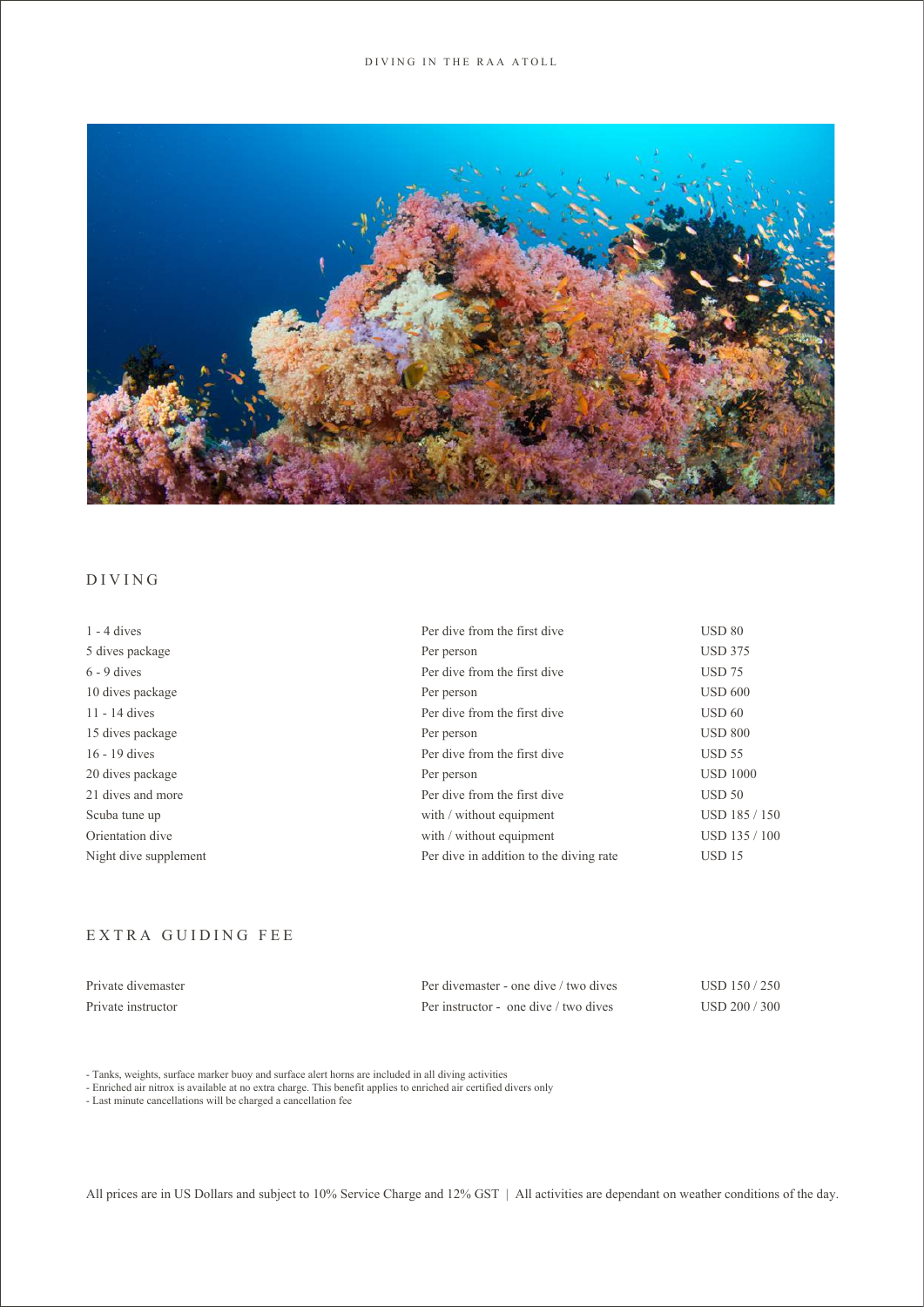

## DIVING

| $1 - 4$ dives         | Per dive from the first dive            | <b>USD 80</b>        |
|-----------------------|-----------------------------------------|----------------------|
| 5 dives package       | Per person                              | <b>USD 375</b>       |
| $6 - 9$ dives         | Per dive from the first dive            | <b>USD 75</b>        |
| 10 dives package      | Per person                              | <b>USD 600</b>       |
| $11 - 14$ dives       | Per dive from the first dive            | USD 60               |
| 15 dives package      | Per person                              | <b>USD 800</b>       |
| $16 - 19$ dives       | Per dive from the first dive            | <b>USD 55</b>        |
| 20 dives package      | Per person                              | <b>USD 1000</b>      |
| 21 dives and more     | Per dive from the first dive            | USD 50               |
| Scuba tune up         | with / without equipment                | <b>USD 185 / 150</b> |
| Orientation dive      | with / without equipment                | USD 135 / 100        |
| Night dive supplement | Per dive in addition to the diving rate | $USD$ 15             |
|                       |                                         |                      |

# EXTRA GUIDING FEE

| Private divemaster |
|--------------------|
| Private instructor |

Per divemaster - one dive / two dives USD 150 / 250 Per instructor - one dive / two dives USD 200 / 300

- Tanks, weights, surface marker buoy and surface alert horns are included in all diving activities

- Enriched air nitrox is available at no extra charge. This benefit applies to enriched air certified divers only

- Last minute cancellations will be charged a cancellation fee

All prices are in US Dollars and subject to 10% Service Charge and 12% GST | All activities are dependant on weather conditions of the day.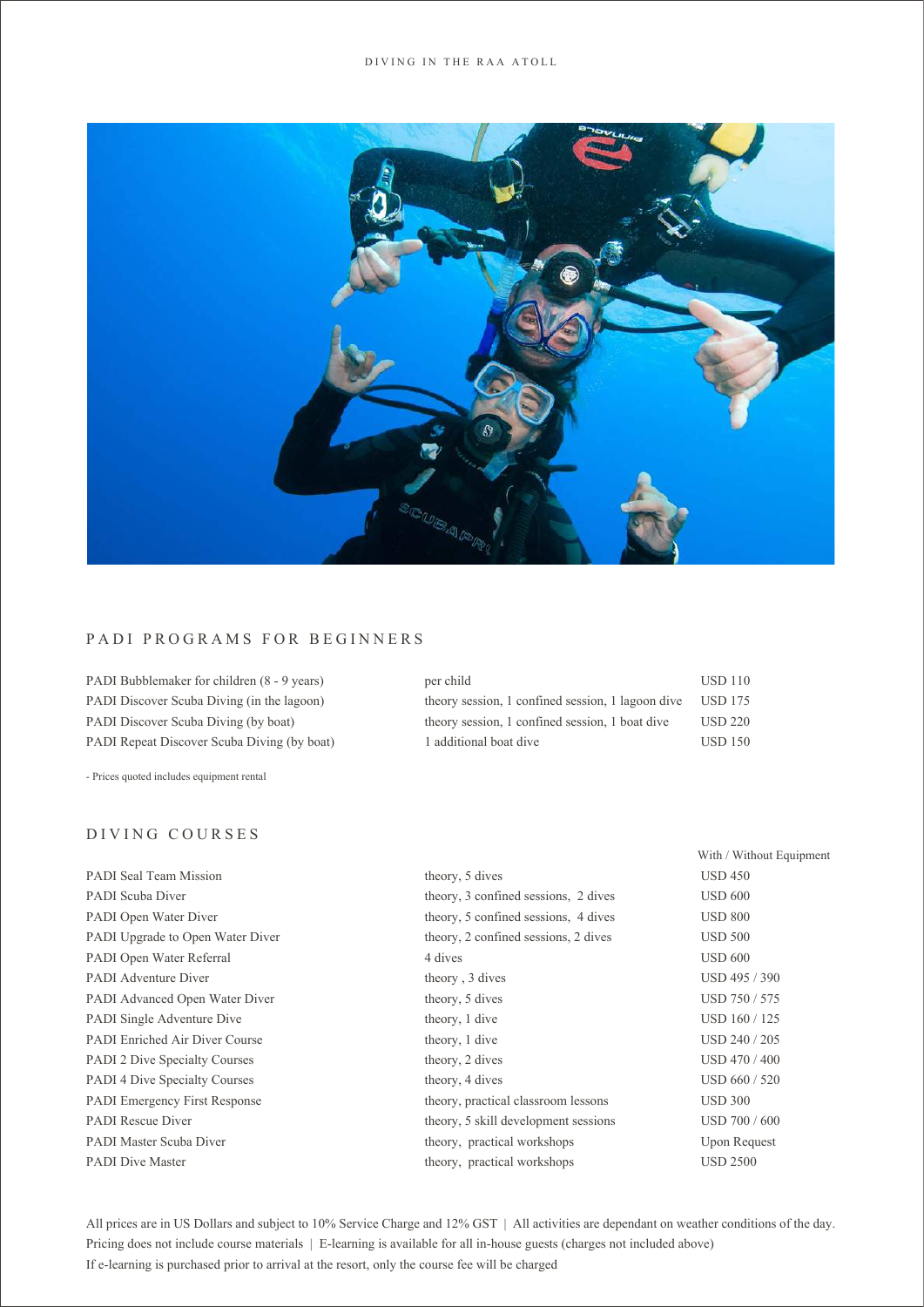#### DIVING IN THE RAA ATOLL



# PADI PROGRAMS FOR BEGINNERS

- Prices quoted includes equipment rental

#### DIVING COURSES

| <b>PADI Seal Team Mission</b>         |
|---------------------------------------|
| PADI Scuba Diver                      |
| PADI Open Water Diver                 |
| PADI Upgrade to Open Water Diver      |
| PADI Open Water Referral              |
| <b>PADI</b> Adventure Diver           |
| PADI Advanced Open Water Diver        |
| PADI Single Adventure Dive            |
| <b>PADI</b> Enriched Air Diver Course |
| PADI 2 Dive Specialty Courses         |
| PADI 4 Dive Specialty Courses         |
| <b>PADI</b> Emergency First Response  |
| <b>PADI Rescue Diver</b>              |
| PADI Master Scuba Diver               |
| <b>PADI</b> Dive Master               |

| PADI Bubblemaker for children (8 - 9 years) | per child                                         | USD <sub>110</sub> |
|---------------------------------------------|---------------------------------------------------|--------------------|
| PADI Discover Scuba Diving (in the lagoon)  | theory session, 1 confined session, 1 lagoon dive | USD 175            |
| PADI Discover Scuba Diving (by boat)        | theory session, 1 confined session, 1 boat dive   | <b>USD 220</b>     |
| PADI Repeat Discover Scuba Diving (by boat) | 1 additional boat dive                            | <b>USD 150</b>     |

|                                  |                                      | With / Without Equipment |
|----------------------------------|--------------------------------------|--------------------------|
| PADI Seal Team Mission           | theory, 5 dives                      | <b>USD 450</b>           |
| PADI Scuba Diver                 | theory, 3 confined sessions, 2 dives | <b>USD 600</b>           |
| PADI Open Water Diver            | theory, 5 confined sessions, 4 dives | <b>USD 800</b>           |
| PADI Upgrade to Open Water Diver | theory, 2 confined sessions, 2 dives | <b>USD 500</b>           |
| PADI Open Water Referral         | 4 dives                              | <b>USD 600</b>           |
| <b>PADI</b> Adventure Diver      | theory, 3 dives                      | USD 495 / 390            |
| PADI Advanced Open Water Diver   | theory, 5 dives                      | USD 750 / 575            |
| PADI Single Adventure Dive       | theory, 1 dive                       | USD 160 / 125            |
| PADI Enriched Air Diver Course   | theory, 1 dive                       | USD 240 / 205            |
| PADI 2 Dive Specialty Courses    | theory, 2 dives                      | USD 470 / 400            |
| PADI 4 Dive Specialty Courses    | theory, 4 dives                      | USD 660 / 520            |
| PADI Emergency First Response    | theory, practical classroom lessons  | <b>USD 300</b>           |
| PADI Rescue Diver                | theory, 5 skill development sessions | USD 700 / 600            |
| PADI Master Scuba Diver          | theory, practical workshops          | Upon Request             |
| <b>PADI Dive Master</b>          | theory, practical workshops          | <b>USD 2500</b>          |
|                                  |                                      |                          |

All prices are in US Dollars and subject to 10% Service Charge and 12% GST | All activities are dependant on weather conditions of the day. Pricing does not include course materials | E-learning is available for all in-house guests (charges not included above) If e-learning is purchased prior to arrival at the resort, only the course fee will be charged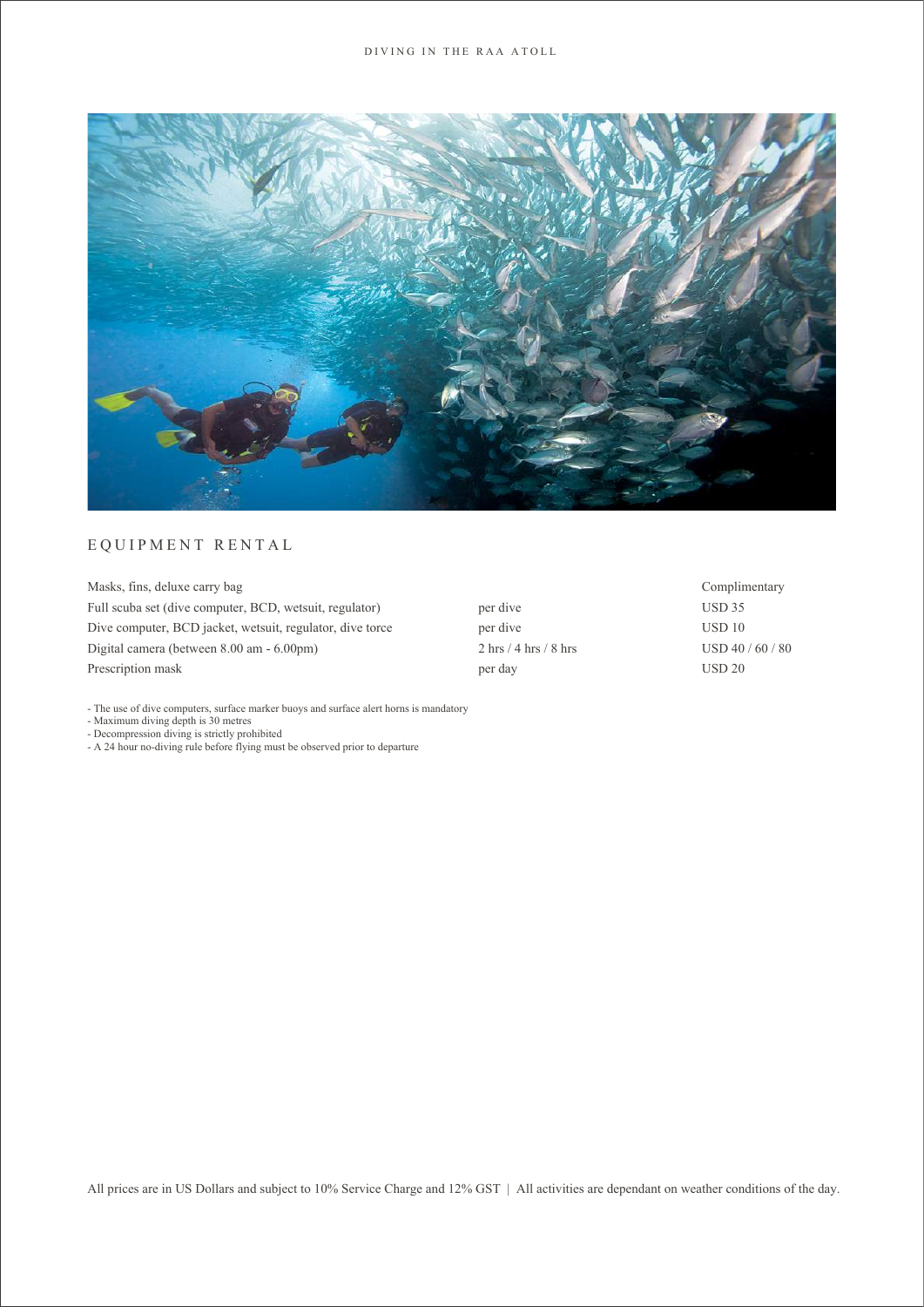

## EQUIPMENT RENTAL

Masks, fins, deluxe carry bag Complimentary Full scuba set (dive computer, BCD, wetsuit, regulator) per dive per dive USD 35 Dive computer, BCD jacket, wetsuit, regulator, dive torce per dive per dive USD 10 Digital camera (between 8.00 am - 6.00pm) 2 hrs / 4 hrs / 8 hrs USD 40 / 60 / 80 Prescription mask per day per day USD 20

- The use of dive computers, surface marker buoys and surface alert horns is mandatory

- Maximum diving depth is 30 metres

- Decompression diving is strictly prohibited

- A 24 hour no-diving rule before flying must be observed prior to departure

All prices are in US Dollars and subject to 10% Service Charge and 12% GST | All activities are dependant on weather conditions of the day.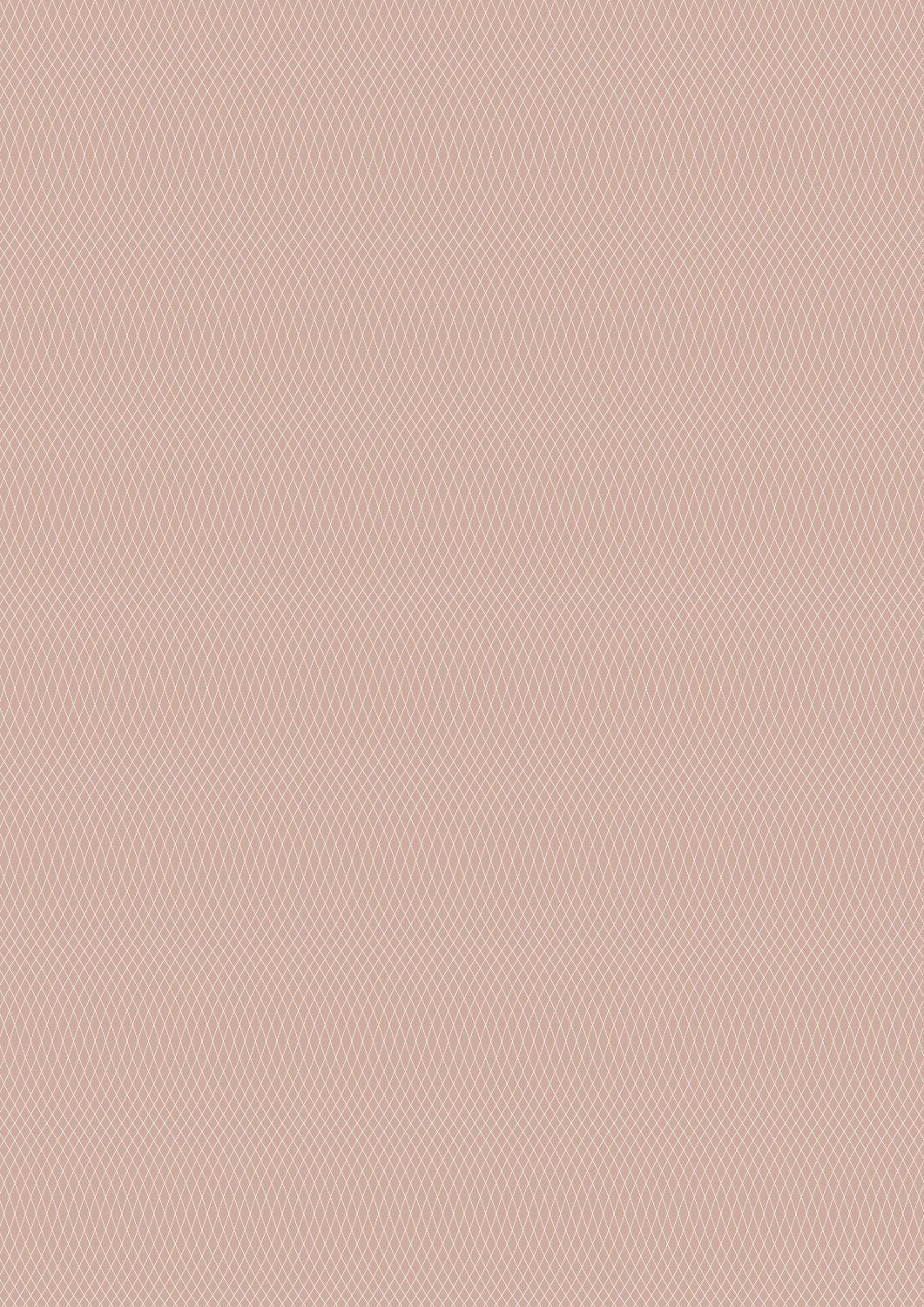KANANG KANANG KANANG KANANG KANANG KANANG KANANG KANANG KANANG KANANG KANANG KANANG KANANG KANANG KANANG KANAN<br>KANANG KANANG KANANG KANANG KANANG KANANG KANANG KANANG KANANG KANANG KANANG KANANG KANANG KANANG KANANG KANAN KERKE KERKE KERKE KERKE KERKE KERKE KERKE KERKE KERKE KERKE KERKE KERKE KERKE KERKE KERKE KERKE KERKE KERKE KE KERKE KERKE KERKE KERKE KERKE KERKE KERKE KERKE KERKE KERKE KERKE KERKE KERKE KERKE KERKE KERKE KERKE KERKE KE KKA KANANGAN KANANGAN KANANGAN KANANGAN KANANGAN KANANGAN KANANGAN KANANGAN KANANGAN KANANGAN KANANGAN KANANG<br>KANANGAN KANANGAN KANANGAN KANANGAN KANANGAN KANANGAN KANANGAN KANANGAN KANANGAN KANANGAN KANANGAN KANANGAN KA KANAN KANAN KANAN KANAN KANAN KANAN KANAN KANAN KANAN KANAN KANAN KANAN KANAN KANAN KANAN KANAN KANAN KANAN KA<br>KANAN KANAN KANAN KANAN KANAN KANAN KANAN KANAN KANAN KANAN KANAN KANAN KANAN KANAN KANAN KANAN KANAN KANAN KA KAN KANANG KANANG KANANG KANANG KANANG KANANG KANANG KANANG KANANG KANANG KANANG KANANG KANANG KANANG KANANG K<br>TANG KANANG KANANG KANANG KANANG KANANG KANANG KANANG KANANG KANANG KANANG KANANG KANANG KANANG KANANG KANANG KKA KATALAKAN KANAN KANAN KANAN KANAN KANAN KANAN KANAN KANAN KANAN KANAN KANAN KANAN KANAN KANAN KANAN KANAN<br>KANAN KANAN KANAN KANAN KANAN KANAN KANAN KANAN KANAN KANAN KANAN KANAN KANAN KANAN KANAN KANAN KANAN KANAN KA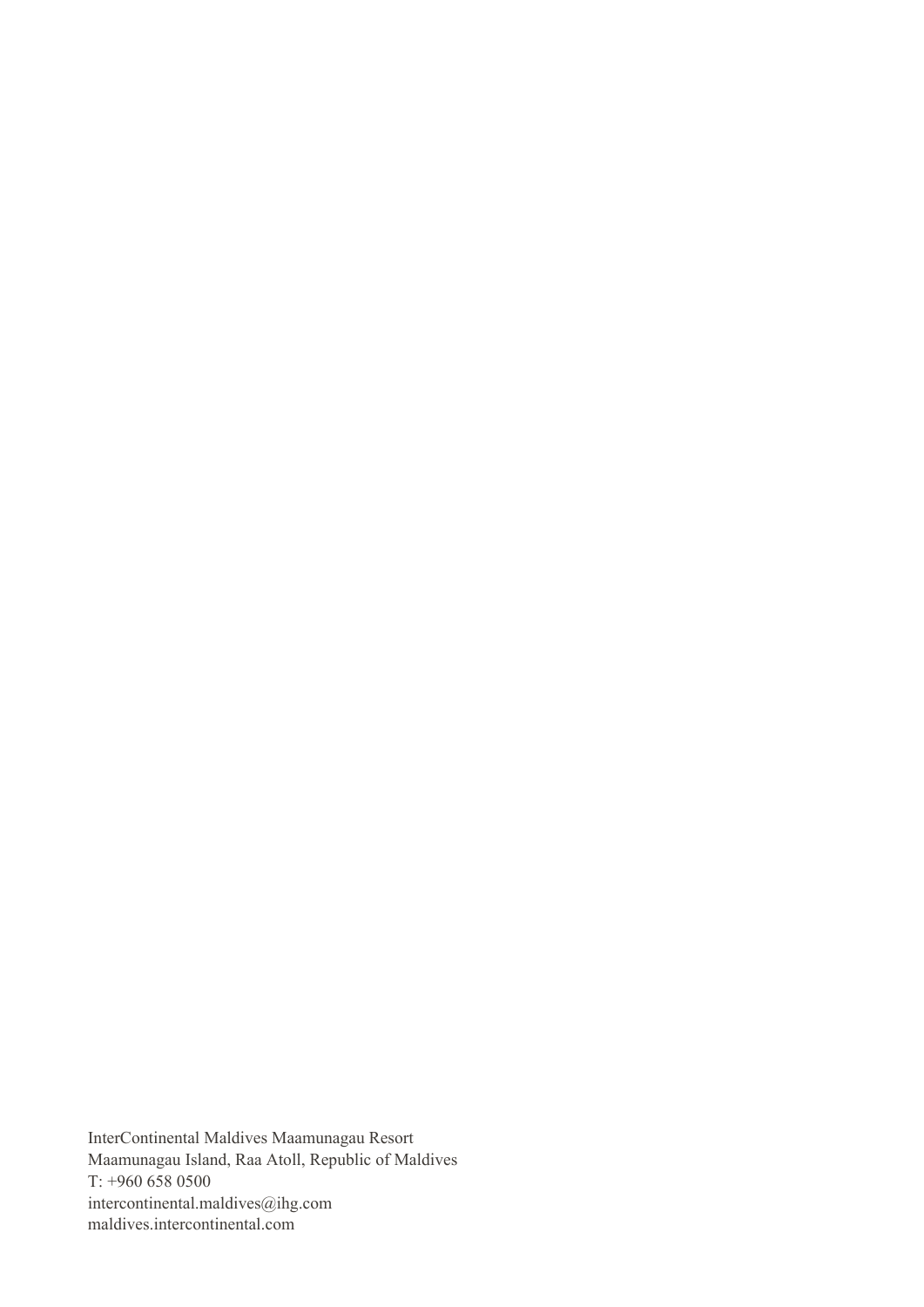InterContinental Maldives Maamunagau Resort Maamunagau Island, Raa Atoll, Republic of Maldives T: +960 658 0500 intercontinental.maldives@ihg.com maldives.intercontinental.com